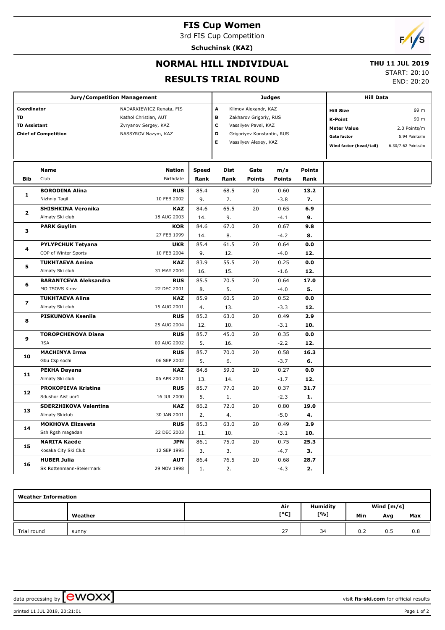## **FIS Cup Women**

3rd FIS Cup Competition

**Schuchinsk (KAZ)**



## **NORMAL HILL INDIVIDUAL**

 **THU 11 JUL 2019**

#### **RESULTS TRIAL ROUND**

START: 20:10

END: 20:20

|                             | <b>Jury/Competition Management</b> |                          |              | <b>Judges</b>              |                       | <b>Hill Data</b> |                  |                         |                    |
|-----------------------------|------------------------------------|--------------------------|--------------|----------------------------|-----------------------|------------------|------------------|-------------------------|--------------------|
| Coordinator                 |                                    | NADARKIEWICZ Renata, FIS | A            | Klimov Alexandr, KAZ       |                       |                  | <b>Hill Size</b> | 99 m                    |                    |
| TD                          |                                    | Kathol Christian, AUT    | B            | Zakharov Grigoriy, RUS     |                       |                  | K-Point          | 90 m                    |                    |
| <b>TD Assistant</b>         |                                    | Zyryanov Sergey, KAZ     |              | с                          | Vassilyev Pavel, KAZ  |                  |                  | <b>Meter Value</b>      | 2.0 Points/m       |
| <b>Chief of Competition</b> |                                    | NASSYROV Nazym, KAZ      | D            | Grigoriyev Konstantin, RUS |                       |                  | Gate factor      | 5.94 Points/m           |                    |
|                             |                                    |                          |              |                            | Vassilyev Alexey, KAZ |                  |                  | Wind factor (head/tail) | 6.30/7.62 Points/m |
|                             |                                    |                          |              |                            |                       |                  |                  |                         |                    |
|                             | <b>Name</b>                        | <b>Nation</b>            | <b>Speed</b> | <b>Dist</b>                | Gate                  | m/s              | <b>Points</b>    |                         |                    |
| <b>Bib</b>                  | Club                               | Birthdate                | Rank         | Rank                       | <b>Points</b>         | <b>Points</b>    | Rank             |                         |                    |
|                             | <b>BORODINA Alina</b>              | <b>RUS</b>               | 85.4         | 68.5                       | 20                    | 0.60             | 13.2             |                         |                    |
| 1                           | Nizhniy Tagil                      | 10 FEB 2002              | 9.           | 7.                         |                       | $-3.8$           | 7.               |                         |                    |
|                             | <b>SHISHKINA Veronika</b>          | <b>KAZ</b>               | 84.6         | 65.5                       | 20                    | 0.65             | 6.9              |                         |                    |
| $\overline{2}$              | Almaty Ski club                    | 18 AUG 2003              | 14.          | 9.                         |                       | $-4.1$           | 9.               |                         |                    |
|                             | <b>PARK Guylim</b>                 | <b>KOR</b>               | 84.6         | 67.0                       | 20                    | 0.67             | 9.8              |                         |                    |
| 3                           |                                    | 27 FEB 1999              | 14.          | 8.                         |                       | $-4.2$           | 8.               |                         |                    |
| 4                           | <b>PYLYPCHUK Tetyana</b>           | <b>UKR</b>               | 85.4         | 61.5                       | 20                    | 0.64             | 0.0              |                         |                    |
|                             | COP of Winter Sports               | 10 FEB 2004              | 9.           | 12.                        |                       | $-4.0$           | 12.              |                         |                    |
| 5                           | <b>TUKHTAEVA Amina</b>             | <b>KAZ</b>               | 83.9         | 55.5                       | 20                    | 0.25             | 0.0              |                         |                    |
|                             | Almaty Ski club                    | 31 MAY 2004              | 16.          | 15.                        |                       | $-1.6$           | 12.              |                         |                    |
| 6                           | <b>BARANTCEVA Aleksandra</b>       | <b>RUS</b>               | 85.5         | 70.5                       | 20                    | 0.64             | 17.0             |                         |                    |
|                             | MO TSOVS Kirov                     | 22 DEC 2001              | 8.           | 5.                         |                       | $-4.0$           | 5.               |                         |                    |
| 7                           | <b>TUKHTAEVA Alina</b>             | <b>KAZ</b>               | 85.9         | 60.5                       | 20                    | 0.52             | 0.0              |                         |                    |
|                             | Almaty Ski club                    | 15 AUG 2001              | 4.           | 13.                        |                       | $-3.3$           | 12.              |                         |                    |
|                             | PISKUNOVA Kseniia                  | <b>RUS</b>               | 85.2         | 63.0                       | 20                    | 0.49             | 2.9              |                         |                    |
| 8                           |                                    | 25 AUG 2004              | 12.          | 10.                        |                       | $-3.1$           | 10.              |                         |                    |
|                             | <b>TOROPCHENOVA Diana</b>          | <b>RUS</b>               | 85.7         | 45.0                       | 20                    | 0.35             | 0.0              |                         |                    |
| 9                           | <b>RSA</b>                         | 09 AUG 2002              | 5.           | 16.                        |                       | $-2.2$           | 12.              |                         |                    |
|                             | <b>MACHINYA Irma</b>               | <b>RUS</b>               | 85.7         | 70.0                       | 20                    | 0.58             | 16.3             |                         |                    |
| 10                          | Gbu Csp sochi                      | 06 SEP 2002              | 5.           | 6.                         |                       | $-3.7$           | 6.               |                         |                    |
|                             | <b>PEKHA Dayana</b>                | KAZ                      | 84.8         | 59.0                       | 20                    | 0.27             | 0.0              |                         |                    |
| 11                          | Almaty Ski club                    | 06 APR 2001              | 13.          | 14.                        |                       | $-1.7$           | 12.              |                         |                    |
|                             | <b>PROKOPIEVA Kristina</b>         | <b>RUS</b>               | 85.7         | 77.0                       | 20                    | 0.37             | 31.7             |                         |                    |
| 12                          | Sdushor Aist uor1                  | 16 JUL 2000              | 5.           | 1.                         |                       | $-2.3$           | 1.               |                         |                    |
|                             | SDERZHIKOVA Valentina              | <b>KAZ</b>               | 86.2         | 72.0                       | 20                    | 0.80             | 19.0             |                         |                    |
| 13                          | Almaty Skiclub                     | 30 JAN 2001              | 2.           | 4.                         |                       | $-5.0$           | 4.               |                         |                    |
|                             | <b>MOKHOVA Elizaveta</b>           | <b>RUS</b>               | 85.3         | 63.0                       | 20                    | 0.49             | 2.9              |                         |                    |
| 14                          | Ssh Rgsh magadan                   | 22 DEC 2003              | 11.          | 10.                        |                       | $-3.1$           | 10.              |                         |                    |
|                             | <b>NARITA Kaede</b>                | <b>JPN</b>               | 86.1         | 75.0                       | 20                    | 0.75             | 25.3             |                         |                    |
| 15                          | Kosaka City Ski Club               | 12 SEP 1995              | 3.           | 3.                         |                       | $-4.7$           | з.               |                         |                    |
|                             | <b>HUBER Julia</b>                 | <b>AUT</b>               | 86.4         | 76.5                       | 20                    | 0.68             | 28.7             |                         |                    |
| 16                          | SK Rottenmann-Steiermark           | 29 NOV 1998              | 1.           | 2.                         |                       | $-4.3$           | 2.               |                         |                    |

| <b>Weather Information</b> |         |      |                 |              |     |     |  |  |  |  |
|----------------------------|---------|------|-----------------|--------------|-----|-----|--|--|--|--|
|                            |         | Air  | <b>Humidity</b> | Wind $[m/s]$ |     |     |  |  |  |  |
|                            | Weather | [°C] | [%]             | Min          | Avg | Max |  |  |  |  |
| Trial round                | sunny   | 27   | 34              | 0.2          | 0.5 | 0.8 |  |  |  |  |

data processing by **CWOXX**  $\blacksquare$ 

printed 11 JUL 2019, 20:21:01 Page 1 of 2